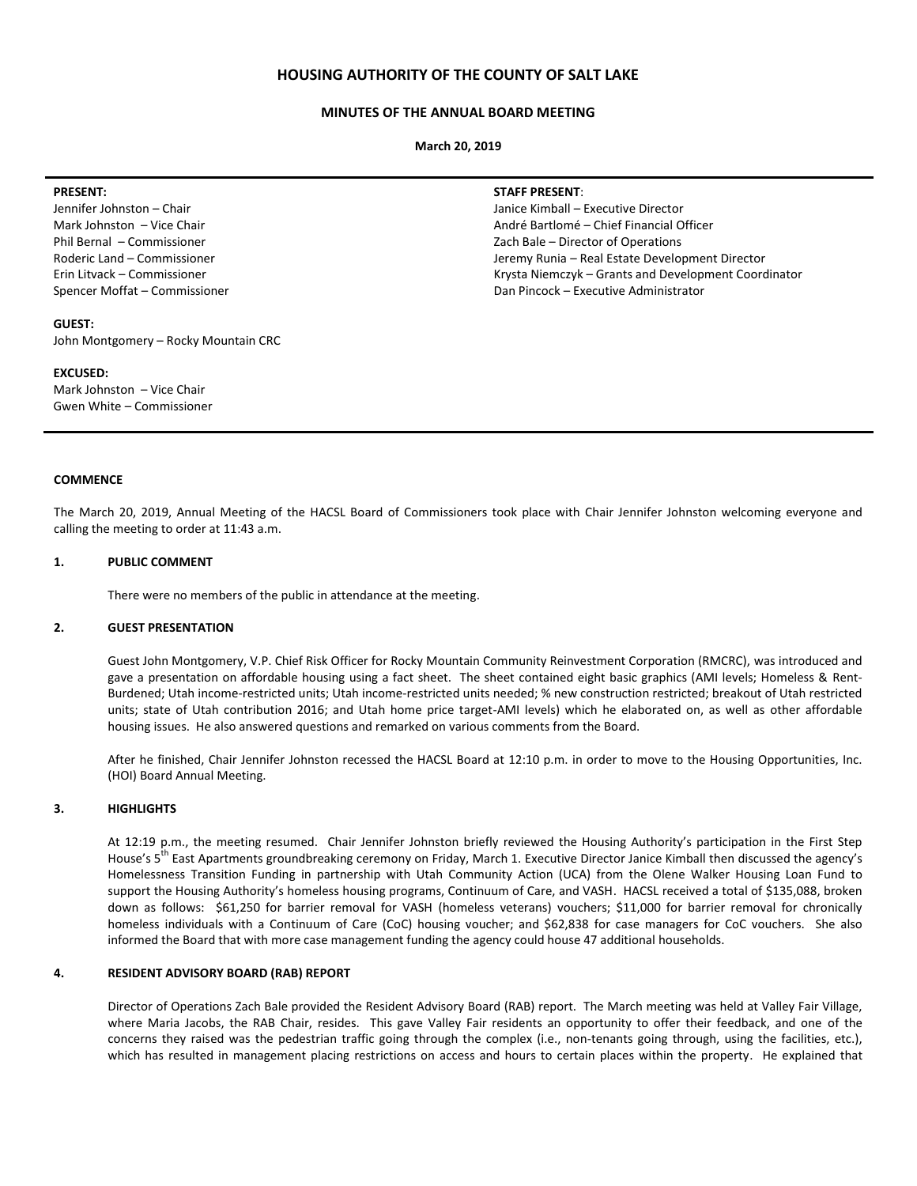## **HOUSING AUTHORITY OF THE COUNTY OF SALT LAKE**

## **MINUTES OF THE ANNUAL BOARD MEETING**

**March 20, 2019**

### **PRESENT:**

Jennifer Johnston – Chair Mark Johnston – Vice Chair Phil Bernal – Commissioner Roderic Land – Commissioner Erin Litvack – Commissioner Spencer Moffat – Commissioner

### **GUEST:**

John Montgomery – Rocky Mountain CRC

### **EXCUSED:**

Mark Johnston – Vice Chair Gwen White – Commissioner

### **STAFF PRESENT**:

Janice Kimball – Executive Director André Bartlomé – Chief Financial Officer Zach Bale – Director of Operations Jeremy Runia – Real Estate Development Director Krysta Niemczyk – Grants and Development Coordinator Dan Pincock – Executive Administrator

### **COMMENCE**

The March 20, 2019, Annual Meeting of the HACSL Board of Commissioners took place with Chair Jennifer Johnston welcoming everyone and calling the meeting to order at 11:43 a.m.

## **1. PUBLIC COMMENT**

There were no members of the public in attendance at the meeting.

### **2. GUEST PRESENTATION**

Guest John Montgomery, V.P. Chief Risk Officer for Rocky Mountain Community Reinvestment Corporation (RMCRC), was introduced and gave a presentation on affordable housing using a fact sheet. The sheet contained eight basic graphics (AMI levels; Homeless & Rent-Burdened; Utah income-restricted units; Utah income-restricted units needed; % new construction restricted; breakout of Utah restricted units; state of Utah contribution 2016; and Utah home price target-AMI levels) which he elaborated on, as well as other affordable housing issues. He also answered questions and remarked on various comments from the Board.

After he finished, Chair Jennifer Johnston recessed the HACSL Board at 12:10 p.m. in order to move to the Housing Opportunities, Inc. (HOI) Board Annual Meeting.

## **3. HIGHLIGHTS**

At 12:19 p.m., the meeting resumed. Chair Jennifer Johnston briefly reviewed the Housing Authority's participation in the First Step House's 5<sup>th</sup> East Apartments groundbreaking ceremony on Friday, March 1. Executive Director Janice Kimball then discussed the agency's Homelessness Transition Funding in partnership with Utah Community Action (UCA) from the Olene Walker Housing Loan Fund to support the Housing Authority's homeless housing programs, Continuum of Care, and VASH. HACSL received a total of \$135,088, broken down as follows: \$61,250 for barrier removal for VASH (homeless veterans) vouchers; \$11,000 for barrier removal for chronically homeless individuals with a Continuum of Care (CoC) housing voucher; and \$62,838 for case managers for CoC vouchers. She also informed the Board that with more case management funding the agency could house 47 additional households.

### **4. RESIDENT ADVISORY BOARD (RAB) REPORT**

Director of Operations Zach Bale provided the Resident Advisory Board (RAB) report. The March meeting was held at Valley Fair Village, where Maria Jacobs, the RAB Chair, resides. This gave Valley Fair residents an opportunity to offer their feedback, and one of the concerns they raised was the pedestrian traffic going through the complex (i.e., non-tenants going through, using the facilities, etc.), which has resulted in management placing restrictions on access and hours to certain places within the property. He explained that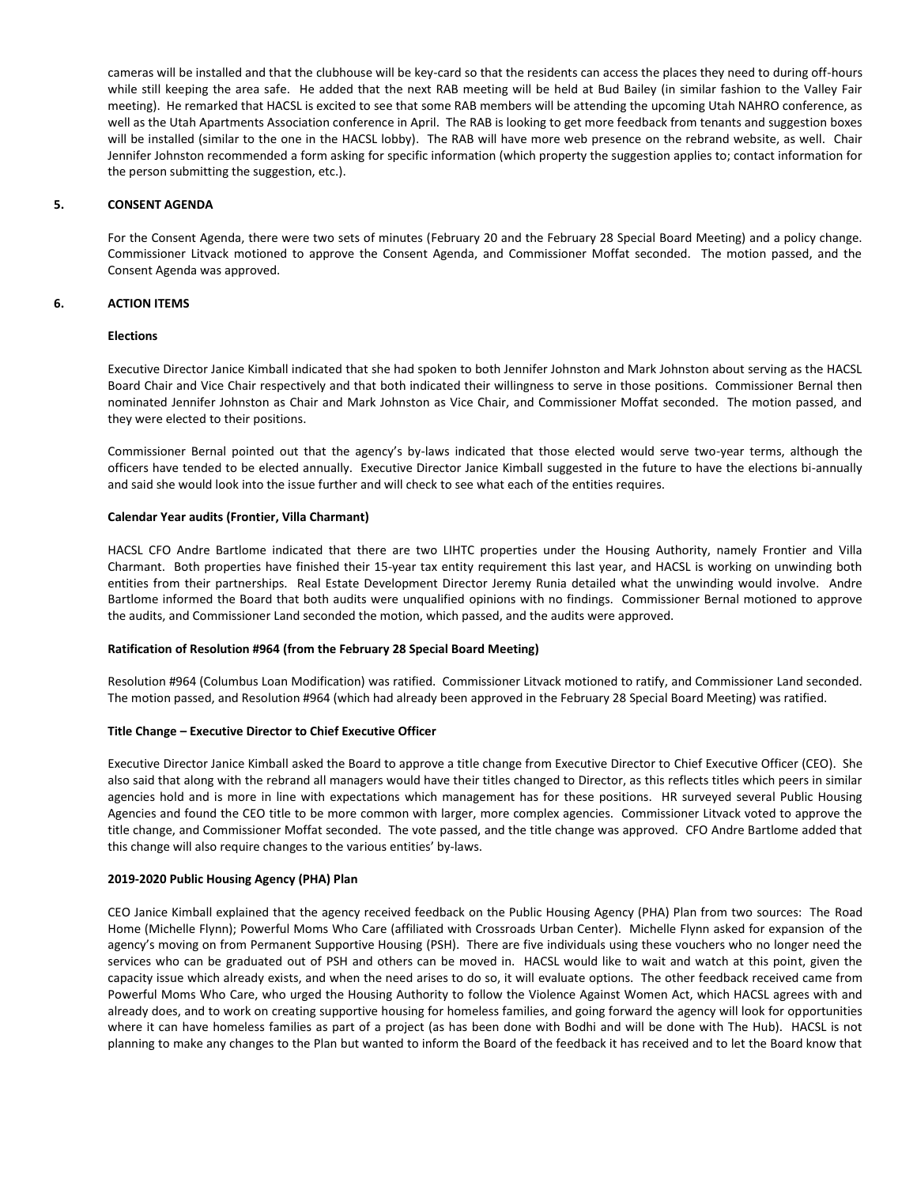cameras will be installed and that the clubhouse will be key-card so that the residents can access the places they need to during off-hours while still keeping the area safe. He added that the next RAB meeting will be held at Bud Bailey (in similar fashion to the Valley Fair meeting). He remarked that HACSL is excited to see that some RAB members will be attending the upcoming Utah NAHRO conference, as well as the Utah Apartments Association conference in April. The RAB is looking to get more feedback from tenants and suggestion boxes will be installed (similar to the one in the HACSL lobby). The RAB will have more web presence on the rebrand website, as well. Chair Jennifer Johnston recommended a form asking for specific information (which property the suggestion applies to; contact information for the person submitting the suggestion, etc.).

## **5. CONSENT AGENDA**

For the Consent Agenda, there were two sets of minutes (February 20 and the February 28 Special Board Meeting) and a policy change. Commissioner Litvack motioned to approve the Consent Agenda, and Commissioner Moffat seconded. The motion passed, and the Consent Agenda was approved.

## **6. ACTION ITEMS**

# **Elections**

Executive Director Janice Kimball indicated that she had spoken to both Jennifer Johnston and Mark Johnston about serving as the HACSL Board Chair and Vice Chair respectively and that both indicated their willingness to serve in those positions. Commissioner Bernal then nominated Jennifer Johnston as Chair and Mark Johnston as Vice Chair, and Commissioner Moffat seconded. The motion passed, and they were elected to their positions.

Commissioner Bernal pointed out that the agency's by-laws indicated that those elected would serve two-year terms, although the officers have tended to be elected annually. Executive Director Janice Kimball suggested in the future to have the elections bi-annually and said she would look into the issue further and will check to see what each of the entities requires.

## **Calendar Year audits (Frontier, Villa Charmant)**

HACSL CFO Andre Bartlome indicated that there are two LIHTC properties under the Housing Authority, namely Frontier and Villa Charmant. Both properties have finished their 15-year tax entity requirement this last year, and HACSL is working on unwinding both entities from their partnerships. Real Estate Development Director Jeremy Runia detailed what the unwinding would involve. Andre Bartlome informed the Board that both audits were unqualified opinions with no findings. Commissioner Bernal motioned to approve the audits, and Commissioner Land seconded the motion, which passed, and the audits were approved.

## **Ratification of Resolution #964 (from the February 28 Special Board Meeting)**

Resolution #964 (Columbus Loan Modification) was ratified. Commissioner Litvack motioned to ratify, and Commissioner Land seconded. The motion passed, and Resolution #964 (which had already been approved in the February 28 Special Board Meeting) was ratified.

## **Title Change – Executive Director to Chief Executive Officer**

Executive Director Janice Kimball asked the Board to approve a title change from Executive Director to Chief Executive Officer (CEO). She also said that along with the rebrand all managers would have their titles changed to Director, as this reflects titles which peers in similar agencies hold and is more in line with expectations which management has for these positions. HR surveyed several Public Housing Agencies and found the CEO title to be more common with larger, more complex agencies. Commissioner Litvack voted to approve the title change, and Commissioner Moffat seconded. The vote passed, and the title change was approved. CFO Andre Bartlome added that this change will also require changes to the various entities' by-laws.

## **2019-2020 Public Housing Agency (PHA) Plan**

CEO Janice Kimball explained that the agency received feedback on the Public Housing Agency (PHA) Plan from two sources: The Road Home (Michelle Flynn); Powerful Moms Who Care (affiliated with Crossroads Urban Center). Michelle Flynn asked for expansion of the agency's moving on from Permanent Supportive Housing (PSH). There are five individuals using these vouchers who no longer need the services who can be graduated out of PSH and others can be moved in. HACSL would like to wait and watch at this point, given the capacity issue which already exists, and when the need arises to do so, it will evaluate options. The other feedback received came from Powerful Moms Who Care, who urged the Housing Authority to follow the Violence Against Women Act, which HACSL agrees with and already does, and to work on creating supportive housing for homeless families, and going forward the agency will look for opportunities where it can have homeless families as part of a project (as has been done with Bodhi and will be done with The Hub). HACSL is not planning to make any changes to the Plan but wanted to inform the Board of the feedback it has received and to let the Board know that